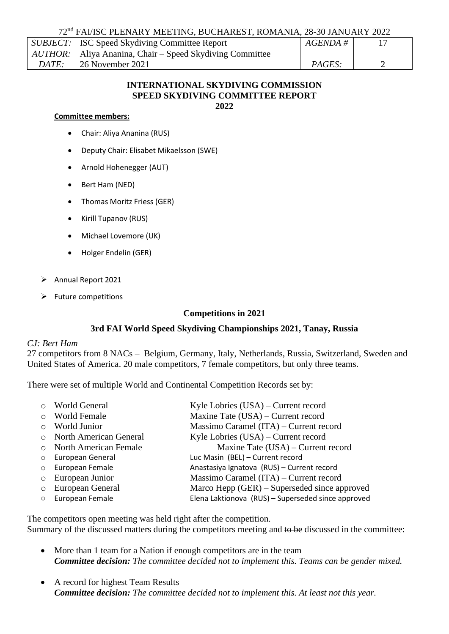72nd FAI/ISC PLENARY MEETING, BUCHAREST, ROMANIA, 28-30 JANUARY 2022

|       | SUBJECT:   ISC Speed Skydiving Committee Report                    | $AGENDA \#$   |  |
|-------|--------------------------------------------------------------------|---------------|--|
|       | <i>AUTHOR</i> :   Aliya Ananina, Chair – Speed Skydiving Committee |               |  |
| DATE: | 26 November 2021                                                   | <i>PAGES:</i> |  |

### **INTERNATIONAL SKYDIVING COMMISSION SPEED SKYDIVING COMMITTEE REPORT 2022**

### **Committee members:**

- Chair: Aliya Ananina (RUS)
- Deputy Chair: Elisabet Mikaelsson (SWE)
- Arnold Hohenegger (AUT)
- Bert Ham (NED)
- Thomas Moritz Friess (GER)
- Kirill Tupanov (RUS)
- Michael Lovemore (UK)
- Holger Endelin (GER)
- ➢ Annual Report 2021
- $\triangleright$  Future competitions

# **Competitions in 2021**

# **3rd FAI World Speed Skydiving Championships 2021, Tanay, Russia**

# *CJ: Bert Ham*

27 competitors from 8 NACs – Belgium, Germany, Italy, Netherlands, Russia, Switzerland, Sweden and United States of America. 20 male competitors, 7 female competitors, but only three teams.

There were set of multiple World and Continental Competition Records set by:

| o World General          | Kyle Lobries $(USA)$ – Current record              |
|--------------------------|----------------------------------------------------|
| o World Female           | Maxine Tate (USA) – Current record                 |
| $\circ$ World Junior     | Massimo Caramel (ITA) – Current record             |
| o North American General | Kyle Lobries (USA) – Current record                |
| o North American Female  | Maxine Tate (USA) – Current record                 |
| o European General       | Luc Masin (BEL) - Current record                   |
| o European Female        | Anastasiya Ignatova (RUS) - Current record         |
| $\circ$ European Junior  | Massimo Caramel (ITA) – Current record             |
| o European General       | Marco Hepp $(GER)$ – Superseded since approved     |
| o European Female        | Elena Laktionova (RUS) - Superseded since approved |

The competitors open meeting was held right after the competition. Summary of the discussed matters during the competitors meeting and to be discussed in the committee:

- More than 1 team for a Nation if enough competitors are in the team *Committee decision: The committee decided not to implement this. Teams can be gender mixed.*
- A record for highest Team Results *Committee decision: The committee decided not to implement this. At least not this year.*